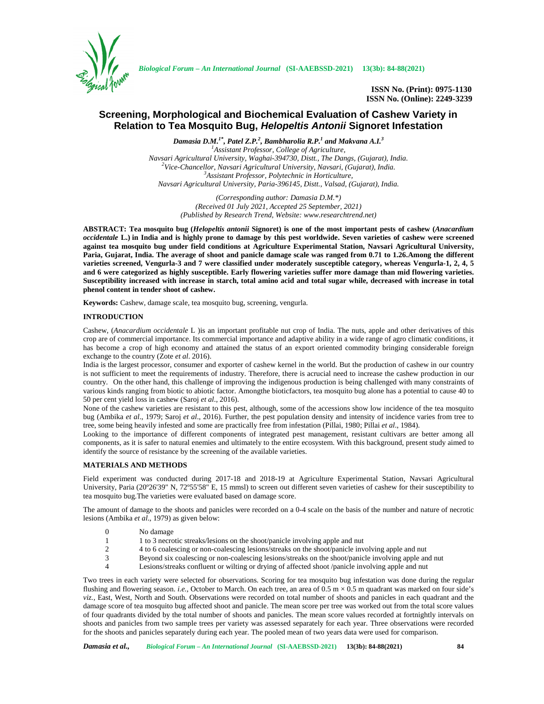

*Biological Forum – An International Journal* **(SI-AAEBSSD-2021) 13(3b): 84-88(2021)**

**ISSN No. (Print): 0975-1130 ISSN No. (Online): 2249-3239**

# **Screening, Morphological and Biochemical Evaluation of Cashew Variety in Relation to Tea Mosquito Bug,** *Helopeltis Antonii* **Signoret Infestation**

*Damasia D.M.1\*, Patel Z.P.<sup>2</sup> , Bambharolia R.P.<sup>1</sup> and Makvana A.I.<sup>3</sup> <sup>1</sup>Assistant Professor, College of Agriculture,* <sup>2</sup>Vice-Chancellor, Navsari Agricultural University, Navsari, (Gujarat), India.<br><sup>3</sup>Assistant Professor, Polytechnic in Horticulture, *Navsari Agricultural University, Paria-396145, Distt., Valsad, (Gujarat), India.*

> *(Corresponding author: Damasia D.M.\*) (Received 01 July 2021, Accepted 25 September, 2021) (Published by Research Trend, Website: <www.researchtrend.net>)*

**ABSTRACT: Tea mosquito bug (***Helopeltis antonii* **Signoret) is one of the most important pests of cashew (***Anacardium occidentale* **L.) in India and is highly prone to damage by this pest worldwide. Seven varieties of cashew were screened against tea mosquito bug under field conditions at Agriculture Experimental Station, Navsari Agricultural University, Paria, Gujarat, India. The average of shoot and panicle damage scale was ranged from 0.71 to 1.26.Among the different varieties screened, Vengurla-3 and 7 were classified under moderately susceptible category, whereas Vengurla-1, 2, 4, 5 and 6 were categorized as highly susceptible. Early flowering varieties suffer more damage than mid flowering varieties. Susceptibility increased with increase in starch, total amino acid and total sugar while, decreased with increase in total phenol content in tender shoot of cashew.**

**Keywords:** Cashew, damage scale, tea mosquito bug, screening, vengurla.

## **INTRODUCTION**

Cashew, (*Anacardium occidentale* L )is an important profitable nut crop of India. The nuts, apple and other derivatives of this crop are of commercial importance. Its commercial importance and adaptive ability in a wide range of agro climatic conditions, it has become a crop of high economy and attained the status of an export oriented commodity bringing considerable foreign exchange to the country (Zote *et al*. 2016).

India is the largest processor, consumer and exporter of cashew kernel in the world. But the production of cashew in our country is not sufficient to meet the requirements of industry. Therefore, there is acrucial need to increase the cashew production in our country. On the other hand, this challenge of improving the indigenous production is being challenged with many constraints of various kinds ranging from biotic to abiotic factor. Amongthe bioticfactors, tea mosquito bug alone has a potential to cause 40 to 50 per cent yield loss in cashew (Saroj *et al*., 2016).

None of the cashew varieties are resistant to this pest, although, some of the accessions show low incidence of the tea mosquito bug (Ambika *et al*., 1979; Saroj *et al*., 2016). Further, the pest population density and intensity of incidence varies from tree to tree, some being heavily infested and some are practically free from infestation (Pillai, 1980; Pillai *et al*., 1984).

Looking to the importance of different components of integrated pest management, resistant cultivars are better among all components, as it is safer to natural enemies and ultimately to the entire ecosystem. With this background, present study aimed to identify the source of resistance by the screening of the available varieties.

## **MATERIALS AND METHODS**

Field experiment was conducted during 2017-18 and 2018-19 at Agriculture Experimental Station, Navsari Agricultural University, Paria (20º26'39" N, 72º55'58" E, 15 mmsl) to screen out different seven varieties of cashew for their susceptibility to tea mosquito bug.The varieties were evaluated based on damage score.

The amount of damage to the shoots and panicles were recorded on a 0-4 scale on the basis of the number and nature of necrotic lesions (Ambika *et al*., 1979) as given below:

- 0 No damage
- 1 1 to 3 necrotic streaks/lesions on the shoot/panicle involving apple and nut
- 2 4 to 6 coalescing or non-coalescing lesions/streaks on the shoot/panicle involving apple and nut
- 3 Beyond six coalescing or non-coalescing lesions/streaks on the shoot/panicle involving apple and nut
- Lesions/streaks confluent or wilting or drying of affected shoot /panicle involving apple and nut

Two trees in each variety were selected for observations. Scoring for tea mosquito bug infestation was done during the regular flushing and flowering season. *i.e.*, October to March. On each tree, an area of  $0.5 \text{ m} \times 0.5 \text{ m}$  quadrant was marked on four side's *viz.,* East, West, North and South. Observations were recorded on total number of shoots and panicles in each quadrant and the damage score of tea mosquito bug affected shoot and panicle. The mean score per tree was worked out from the total score values of four quadrants divided by the total number of shoots and panicles. The mean score values recorded at fortnightly intervals on shoots and panicles from two sample trees per variety was assessed separately for each year. Three observations were recorded for the shoots and panicles separately during each year. The pooled mean of two years data were used for comparison.

*Damasia et al., Biological Forum – An International Journal* **(SI-AAEBSSD-2021) 13(3b): 84-88(2021) 84**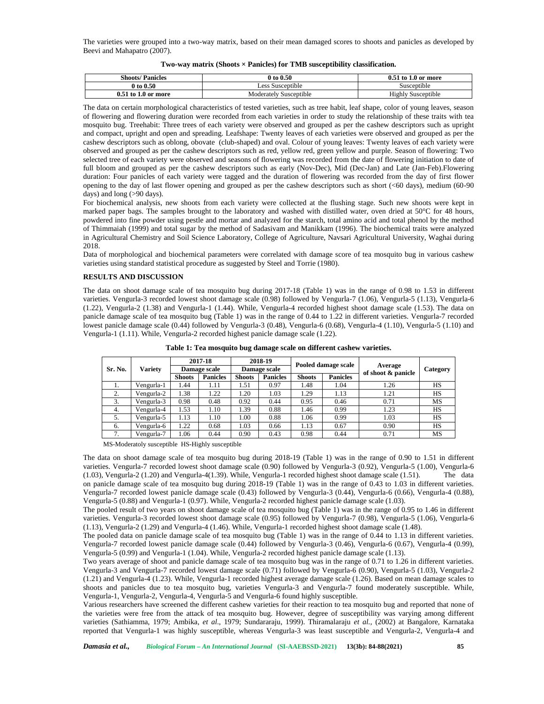The varieties were grouped into a two-way matrix, based on their mean damaged scores to shoots and panicles as developed by Beevi and Mahapatro (2007).

### **Two-way matrix (Shoots × Panicles) for TMB susceptibility classification.**

| <b>Shoots/Panicles</b>  | 0 to 0.50              | 1.0 or more<br>to 1       |
|-------------------------|------------------------|---------------------------|
| 0 to 0.50               | Less Susceptible       | Susceptible               |
| $0.51$ to $1.0$ or more | Moderately Susceptible | <b>Highly Susceptible</b> |

The data on certain morphological characteristics of tested varieties, such as tree habit, leaf shape, color of young leaves, season of flowering and flowering duration were recorded from each varieties in order to study the relationship of these traits with tea mosquito bug. Treehabit: Three trees of each variety were observed and grouped as per the cashew descriptors such as upright and compact, upright and open and spreading. Leafshape: Twenty leaves of each varieties were observed and grouped as per the cashew descriptors such as oblong, obovate (club-shaped) and oval. Colour of young leaves: Twenty leaves of each variety were observed and grouped as per the cashew descriptors such as red, yellow red, green yellow and purple. Season of flowering: Two selected tree of each variety were observed and seasons of flowering was recorded from the date of flowering initiation to date of full bloom and grouped as per the cashew descriptors such as early (Nov-Dec), Mid (Dec-Jan) and Late (Jan-Feb).Flowering duration: Four panicles of each variety were tagged and the duration of flowering was recorded from the day of first flower opening to the day of last flower opening and grouped as per the cashew descriptors such as short (<60 days), medium (60-90 days) and long (>90 days).

For biochemical analysis, new shoots from each variety were collected at the flushing stage. Such new shoots were kept in marked paper bags. The samples brought to the laboratory and washed with distilled water, oven dried at 50°C for 48 hours, powdered into fine powder using pestle and mortar and analyzed for the starch, total amino acid and total phenol by the method of Thimmaiah (1999) and total sugar by the method of Sadasivam and Manikkam (1996). The biochemical traits were analyzed in Agricultural Chemistry and Soil Science Laboratory, College of Agriculture, Navsari Agricultural University, Waghai during 2018.

Data of morphological and biochemical parameters were correlated with damage score of tea mosquito bug in various cashew varieties using standard statistical procedure as suggested by Steel and Torrie (1980).

#### **RESULTS AND DISCUSSION**

The data on shoot damage scale of tea mosquito bug during 2017-18 (Table 1) was in the range of 0.98 to 1.53 in different varieties. Vengurla-3 recorded lowest shoot damage scale (0.98) followed by Vengurla-7 (1.06), Vengurla-5 (1.13), Vengurla-6 (1.22), Vengurla-2 (1.38) and Vengurla-1 (1.44). While, Vengurla-4 recorded highest shoot damage scale (1.53). The data on panicle damage scale of tea mosquito bug (Table 1) was in the range of 0.44 to 1.22 in different varieties. Vengurla-7 recorded lowest panicle damage scale (0.44) followed by Vengurla-3 (0.48), Vengurla-6 (0.68), Vengurla-4 (1.10), Vengurla-5 (1.10) and Vengurla-1 (1.11). While, Vengurla-2 recorded highest panicle damage scale (1.22).

| Sr. No.<br>Variety |            | 2017-18             |                 |               | 2018-19         | Pooled damage scale           |                 |          |    |
|--------------------|------------|---------------------|-----------------|---------------|-----------------|-------------------------------|-----------------|----------|----|
|                    |            | <b>Damage scale</b> |                 |               | Damage scale    | Average<br>of shoot & panicle |                 | Category |    |
|                    |            | <b>Shoots</b>       | <b>Panicles</b> | <b>Shoots</b> | <b>Panicles</b> | <b>Shoots</b>                 | <b>Panicles</b> |          |    |
| . .                | Vengurla-1 | 1.44                | 1.11            | 1.51          | 0.97            | 1.48                          | 1.04            | 1.26     | HS |
| 2.                 | Vengurla-2 | 1.38                | 1.22            | l.20          | 1.03            | 1.29                          | 1.13            | 1.21     | HS |
| 3.                 | Vengurla-3 | 0.98                | 0.48            | 0.92          | 0.44            | 0.95                          | 0.46            | 0.71     | MS |
| 4.                 | Vengurla-4 | 1.53                | 1.10            | 1.39          | 0.88            | 1.46                          | 0.99            | 1.23     | HS |
| 5.                 | Vengurla-5 | 1.13                | 1.10            | 1.00          | 0.88            | 1.06                          | 0.99            | 1.03     | HS |
| 6.                 | Vengurla-6 | 1.22                | 0.68            | 1.03          | 0.66            | 1.13                          | 0.67            | 0.90     | HS |
| 7.                 | Vengurla-7 | 1.06                | 0.44            | 0.90          | 0.43            | 0.98                          | 0.44            | 0.71     | MS |

**Table 1: Tea mosquito bug damage scale on different cashew varieties.**

MS-Moderatoly susceptible HS-Highly susceptible

The data on shoot damage scale of tea mosquito bug during 2018-19 (Table 1) was in the range of 0.90 to 1.51 in different varieties. Vengurla-7 recorded lowest shoot damage scale (0.90) followed by Vengurla-3 (0.92), Vengurla-5 (1.00), Vengurla-6 (1.03), Vengurla-2 (1.20) and Vengurla-4(1.39). While, Vengurla-1 recorded highest shoot damage scale (1.51). The data on panicle damage scale of tea mosquito bug during 2018-19 (Table 1) was in the range of 0.43 to 1.03 in different varieties. Vengurla-7 recorded lowest panicle damage scale (0.43) followed by Vengurla-3 (0.44), Vengurla-6 (0.66), Vengurla-4 (0.88), Vengurla-5 (0.88) and Vengurla-1 (0.97). While, Vengurla-2 recorded highest panicle damage scale (1.03).

The pooled result of two years on shoot damage scale of tea mosquito bug (Table 1) was in the range of 0.95 to 1.46 in different varieties. Vengurla-3 recorded lowest shoot damage scale (0.95) followed by Vengurla-7 (0.98), Vengurla-5 (1.06), Vengurla-6 (1.13), Vengurla-2 (1.29) and Vengurla-4 (1.46). While, Vengurla-1 recorded highest shoot damage scale (1.48).

The pooled data on panicle damage scale of tea mosquito bug (Table 1) was in the range of 0.44 to 1.13 in different varieties. Vengurla-7 recorded lowest panicle damage scale (0.44) followed by Vengurla-3 (0.46), Vengurla-6 (0.67), Vengurla-4 (0.99), Vengurla-5 (0.99) and Vengurla-1 (1.04). While, Vengurla-2 recorded highest panicle damage scale (1.13).

Two years average of shoot and panicle damage scale of tea mosquito bug was in the range of 0.71 to 1.26 in different varieties. Vengurla-3 and Vengurla-7 recorded lowest damage scale (0.71) followed by Vengurla-6 (0.90), Vengurla-5 (1.03), Vengurla-2 (1.21) and Vengurla-4 (1.23). While, Vengurla-1 recorded highest average damage scale (1.26). Based on mean damage scales to shoots and panicles due to tea mosquito bug, varieties Vengurla-3 and Vengurla-7 found moderately susceptible. While, Vengurla-1, Vengurla-2, Vengurla-4, Vengurla-5 and Vengurla-6 found highly susceptible.

Various researchers have screened the different cashew varieties for their reaction to tea mosquito bug and reported that none of the varieties were free from the attack of tea mosquito bug. However, degree of susceptibility was varying among different varieties (Sathiamma, 1979; Ambika, *et al*., 1979; Sundararaju, 1999). Thiramalaraju *et al.,* (2002) at Bangalore, Karnataka reported that Vengurla-1 was highly susceptible, whereas Vengurla-3 was least susceptible and Vengurla-2, Vengurla-4 and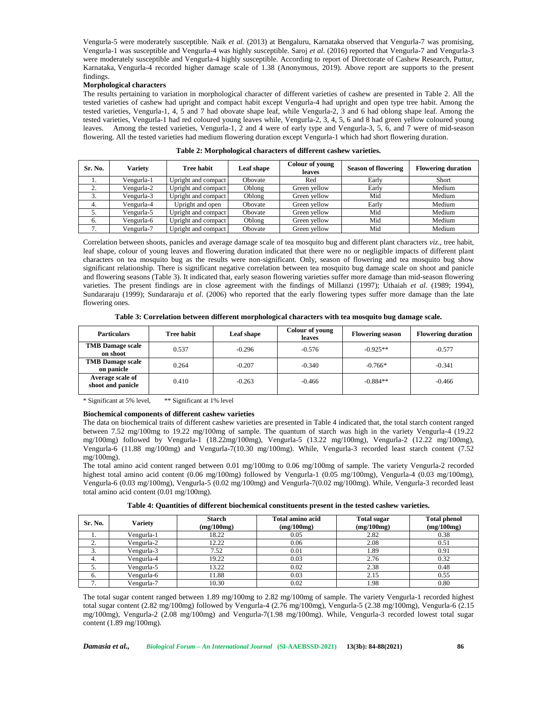Vengurla-5 were moderately susceptible. Naik *et al.* (2013) at Bengaluru, Karnataka observed that Vengurla-7 was promising, Vengurla-1 was susceptible and Vengurla-4 was highly susceptible. Saroj *et al*. (2016) reported that Vengurla-7 and Vengurla-3 were moderately susceptible and Vengurla-4 highly susceptible. According to report of Directorate of Cashew Research, Puttur, Karnataka, Vengurla-4 recorded higher damage scale of 1.38 (Anonymous, 2019). Above report are supports to the present findings.

#### **Morphological characters**

The results pertaining to variation in morphological character of different varieties of cashew are presented in Table 2. All the tested varieties of cashew had upright and compact habit except Vengurla-4 had upright and open type tree habit. Among the tested varieties, Vengurla-1, 4, 5 and 7 had obovate shape leaf, while Vengurla-2, 3 and 6 had oblong shape leaf. Among the tested varieties, Vengurla-1 had red coloured young leaves while, Vengurla-2, 3, 4, 5, 6 and 8 had green yellow coloured young leaves. Among the tested varieties, Vengurla-1, 2 and 4 were of early type and Vengurla-3, 5, 6, and 7 were of mid-season flowering. All the tested varieties had medium flowering duration except Vengurla-1 which had short flowering duration.

| Sr. No.  | Varietv    | <b>Tree habit</b>   | Leaf shape | Colour of young<br>leaves | <b>Season of flowering</b> | <b>Flowering duration</b> |
|----------|------------|---------------------|------------|---------------------------|----------------------------|---------------------------|
| . .      | Vengurla-1 | Upright and compact | Obovate    | Red                       | Early                      | Short                     |
| <u>.</u> | Vengurla-2 | Upright and compact | Oblong     | Green yellow              | Early                      | Medium                    |
| 3.       | Vengurla-3 | Upright and compact | Oblong     | Green yellow              | Mid                        | Medium                    |
| 4.       | Vengurla-4 | Upright and open    | Obovate    | Green yellow              | Early                      | Medium                    |
| .,       | Vengurla-5 | Upright and compact | Obovate    | Green yellow              | Mid                        | Medium                    |
| 6.       | Vengurla-6 | Upright and compact | Oblong     | Green yellow              | Mid                        | Medium                    |
| ⇁<br>. . | Vengurla-7 | Upright and compact | Obovate    | Green yellow              | Mid                        | Medium                    |

**Table 2: Morphological characters of different cashew varieties.**

Correlation between shoots, panicles and average damage scale of tea mosquito bug and different plant characters *viz*., tree habit, leaf shape, colour of young leaves and flowering duration indicated that there were no or negligible impacts of different plant characters on tea mosquito bug as the results were non-significant. Only, season of flowering and tea mosquito bug show significant relationship. There is significant negative correlation between tea mosquito bug damage scale on shoot and panicle and flowering seasons (Table 3). It indicated that, early season flowering varieties suffer more damage than mid-season flowering varieties. The present findings are in close agreement with the findings of Millanzi (1997); Uthaiah *et al*. (1989; 1994), Sundararaju (1999); Sundararaju *et al*. (2006) who reported that the early flowering types suffer more damage than the late flowering ones.

**Table 3: Correlation between different morphological characters with tea mosquito bug damage scale.**

| <b>Particulars</b>                    | <b>Tree habit</b> | Leaf shape | Colour of young<br>leaves | <b>Flowering season</b> | <b>Flowering duration</b> |
|---------------------------------------|-------------------|------------|---------------------------|-------------------------|---------------------------|
| <b>TMB</b> Damage scale<br>on shoot   | 0.537             | $-0.296$   | $-0.576$                  | $-0.925**$              | $-0.577$                  |
| <b>TMB</b> Damage scale<br>on panicle | 0.264             | $-0.207$   | $-0.340$                  | $-0.766*$               | $-0.341$                  |
| Average scale of<br>shoot and panicle | 0.410             | $-0.263$   | $-0.466$                  | $-0.884**$              | $-0.466$                  |

\* Significant at 5% level, \*\* Significant at 1% level

## **Biochemical components of different cashew varieties**

The data on biochemical traits of different cashew varieties are presented in Table 4 indicated that, the total starch content ranged between 7.52 mg/100mg to 19.22 mg/100mg of sample. The quantum of starch was high in the variety Vengurla-4 (19.22 mg/100mg) followed by Vengurla-1 (18.22mg/100mg), Vengurla-5 (13.22 mg/100mg), Vengurla-2 (12.22 mg/100mg), Vengurla-6 (11.88 mg/100mg) and Vengurla-7(10.30 mg/100mg). While, Vengurla-3 recorded least starch content (7.52 mg/100mg).

The total amino acid content ranged between 0.01 mg/100mg to 0.06 mg/100mg of sample. The variety Vengurla-2 recorded highest total amino acid content (0.06 mg/100mg) followed by Vengurla-1 (0.05 mg/100mg), Vengurla-4 (0.03 mg/100mg), Vengurla-6 (0.03 mg/100mg), Vengurla-5 (0.02 mg/100mg) and Vengurla-7(0.02 mg/100mg). While, Vengurla-3 recorded least total amino acid content (0.01 mg/100mg).

| Table 4: Quantities of different biochemical constituents present in the tested cashew varieties. |  |
|---------------------------------------------------------------------------------------------------|--|
|---------------------------------------------------------------------------------------------------|--|

| Sr. No. | <b>Variety</b> | Starch<br>(mg/100mg) | <b>Total amino acid</b><br>(mg/100mg) | <b>Total sugar</b><br>(mg/100mg) | <b>Total phenol</b><br>(mg/100mg) |
|---------|----------------|----------------------|---------------------------------------|----------------------------------|-----------------------------------|
|         | Vengurla-1     | 18.22                | 0.05                                  | 2.82                             | 0.38                              |
| ٠.      | Vengurla-2     | 12.22                | 0.06                                  | 2.08                             | 0.51                              |
| c.      | Vengurla-3     | 7.52                 | 0.01                                  | 1.89                             | 0.91                              |
|         | Vengurla-4     | 19.22                | 0.03                                  | 2.76                             | 0.32                              |
| J.      | Vengurla-5     | 13.22                | 0.02                                  | 2.38                             | 0.48                              |
| 6.      | Vengurla-6     | 11.88                | 0.03                                  | 2.15                             | 0.55                              |
| ⇁       | Vengurla-7     | 10.30                | 0.02                                  | 1.98                             | 0.80                              |

The total sugar content ranged between 1.89 mg/100mg to 2.82 mg/100mg of sample. The variety Vengurla-1 recorded highest total sugar content (2.82 mg/100mg) followed by Vengurla-4 (2.76 mg/100mg), Vengurla-5 (2.38 mg/100mg), Vengurla-6 (2.15 mg/100mg), Vengurla-2 (2.08 mg/100mg) and Vengurla-7(1.98 mg/100mg). While, Vengurla-3 recorded lowest total sugar content (1.89 mg/100mg).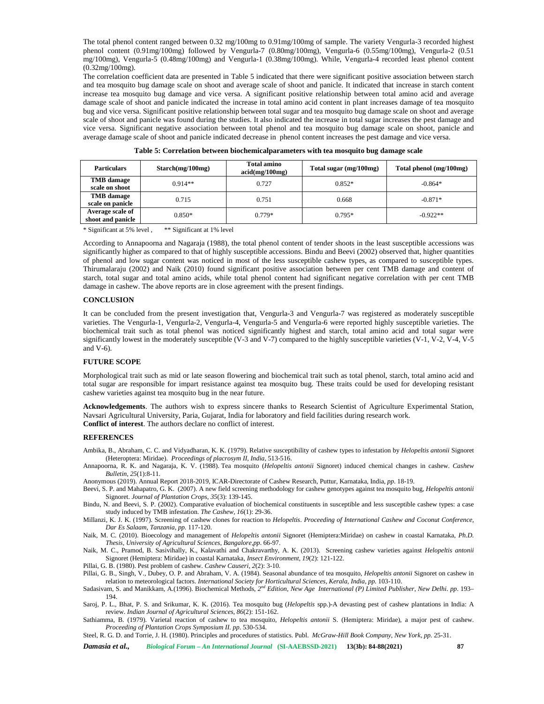The total phenol content ranged between 0.32 mg/100mg to 0.91mg/100mg of sample. The variety Vengurla-3 recorded highest phenol content (0.91mg/100mg) followed by Vengurla-7 (0.80mg/100mg), Vengurla-6 (0.55mg/100mg), Vengurla-2 (0.51 mg/100mg), Vengurla-5 (0.48mg/100mg) and Vengurla-1 (0.38mg/100mg). While, Vengurla-4 recorded least phenol content (0.32mg/100mg).

The correlation coefficient data are presented in Table 5 indicated that there were significant positive association between starch and tea mosquito bug damage scale on shoot and average scale of shoot and panicle. It indicated that increase in starch content increase tea mosquito bug damage and vice versa. A significant positive relationship between total amino acid and average damage scale of shoot and panicle indicated the increase in total amino acid content in plant increases damage of tea mosquito bug and vice versa. Significant positive relationship between total sugar and tea mosquito bug damage scale on shoot and average scale of shoot and panicle was found during the studies. It also indicated the increase in total sugar increases the pest damage and vice versa. Significant negative association between total phenol and tea mosquito bug damage scale on shoot, panicle and average damage scale of shoot and panicle indicated decrease in phenol content increases the pest damage and vice versa.

| <b>Particulars</b>                    | Starch(mg/100mg) | <b>Total amino</b><br>acid(mg/100mg) | Total sugar (mg/100mg) | Total phenol (mg/100mg) |
|---------------------------------------|------------------|--------------------------------------|------------------------|-------------------------|
| <b>TMB</b> damage<br>scale on shoot   | $0.914**$        | 0.727                                | $0.852*$               | $-0.864*$               |
| <b>TMB</b> damage<br>scale on panicle | 0.715            | 0.751                                | 0.668                  | $-0.871*$               |
| Average scale of<br>shoot and panicle | $0.850*$         | $0.779*$                             | $0.795*$               | $-0.922**$              |

|  | Table 5: Correlation between biochemicalparameters with tea mosquito bug damage scale |  |
|--|---------------------------------------------------------------------------------------|--|
|  |                                                                                       |  |

\* Significant at 5% level , \*\* Significant at 1% level

According to Annapoorna and Nagaraja (1988), the total phenol content of tender shoots in the least susceptible accessions was significantly higher as compared to that of highly susceptible accessions. Bindu and Beevi (2002) observed that, higher quantities of phenol and low sugar content was noticed in most of the less susceptible cashew types, as compared to susceptible types. Thirumalaraju (2002) and Naik (2010) found significant positive association between per cent TMB damage and content of starch, total sugar and total amino acids, while total phenol content had significant negative correlation with per cent TMB damage in cashew. The above reports are in close agreement with the present findings.

#### **CONCLUSION**

It can be concluded from the present investigation that, Vengurla-3 and Vengurla-7 was registered as moderately susceptible varieties. The Vengurla-1, Vengurla-2, Vengurla-4, Vengurla-5 and Vengurla-6 were reported highly susceptible varieties. The biochemical trait such as total phenol was noticed significantly highest and starch, total amino acid and total sugar were significantly lowest in the moderately susceptible (V-3 and V-7) compared to the highly susceptible varieties (V-1, V-2, V-4, V-5 and V-6).

## **FUTURE SCOPE**

Morphological trait such as mid or late season flowering and biochemical trait such as total phenol, starch, total amino acid and total sugar are responsible for impart resistance against tea mosquito bug. These traits could be used for developing resistant cashew varieties against tea mosquito bug in the near future.

**Acknowledgements**. The authors wish to express sincere thanks to Research Scientist of Agriculture Experimental Station, Navsari Agricultural University, Paria, Gujarat, India for laboratory and field facilities during research work. **Conflict of interest**. The authors declare no conflict of interest.

#### **REFERENCES**

- Ambika, B., Abraham, C. C. and Vidyadharan, K. K. (1979). Relative susceptibility of cashew types to infestation by *Helopeltis antonii* Signoret (Heteroptera: Miridae). *Proceedings of placrosym II, India*, 513-516.
- Annapoorna, R. K. and Nagaraja, K. V. (1988). Tea mosquito (*Helopeltis antonii* Signoret) induced chemical changes in cashew. *Cashew Bulletin*, *25*(1):8-11.

Anonymous (2019). Annual Report 2018-2019, ICAR-Directorate of Cashew Research, Puttur, Karnataka, India, *pp*. 18-19.

- Beevi, S. P. and Mahapatro, G. K. (2007). A new field screening methodology for cashew genotypes against tea mosquito bug, *Helopeltis antonii* Signoret. *Journal of Plantation Crops*, *35*(3): 139-145.
- Bindu, N. and Beevi, S. P. (2002). Comparative evaluation of biochemical constituents in susceptible and less susceptible cashew types: a case study induced by TMB infestation. *The Cashew, 16*(1): 29-36.
- Millanzi, K. J. K. (1997). Screening of cashew clones for reaction to *Helopeltis*. *Proceeding of International Cashew and Coconut Conference, Dar Es Salaam, Tanzania, pp.* 117-120.

Naik, M. C. (2010). Bioecology and management of *Helopeltis antonii* Signoret (Hemiptera:Miridae) on cashew in coastal Karnataka, *Ph.D. Thesis, University of Agricultural Sciences*, *Bangalore,pp*. 66-97.

- Naik, M. C., Pramod, B. Sasivihally, K., Kalavathi and Chakravarthy, A. K. (2013). Screening cashew varieties against *Helopeltis antonii* Signoret (Hemiptera: Miridae) in coastal Karnataka, *Insect Environment, 19*(2): 121-122.
- Pillai, G. B. (1980). Pest problem of cashew. *Cashew Causeri, 2*(2): 3-10.
- Pillai, G. B., Singh, V., Dubey, O. P. and Abraham, V. A. (1984). Seasonal abundance of tea mosquito, *Helopeltis antonii* Signoret on cashew in relation to meteorological factors. *International Society for Horticultural Sciences, Kerala*, *India*, *pp.* 103-110.

Sadasivam, S. and Manikkam, A.(1996). Biochemical Methods, 2<sup>nd</sup> Edition, New Age International (P) Limited Publisher, New Delhi. pp. 193– 194.

Saroj, P. L., Bhat, P. S. and Srikumar, K. K. (2016). Tea mosquito bug (*Helopeltis* spp.)-A devasting pest of cashew plantations in India: A review. *Indian Journal of Agricultural Sciences, 86*(2): 151-162.

Sathiamma, B. (1979). Varietal reaction of cashew to tea mosquito, *Helopeltis antonii* S. (Hemiptera: Miridae), a major pest of cashew. *Proceeding of Plantation Crops Symposium II. pp*. 530-534.

Steel, R. G. D. and Torrie, J. H. (1980). Principles and procedures of statistics. Publ. *McGraw-Hill Book Company*, *New York*, *pp.* 25-31.

*Damasia et al., Biological Forum – An International Journal* **(SI-AAEBSSD-2021) 13(3b): 84-88(2021) 87**